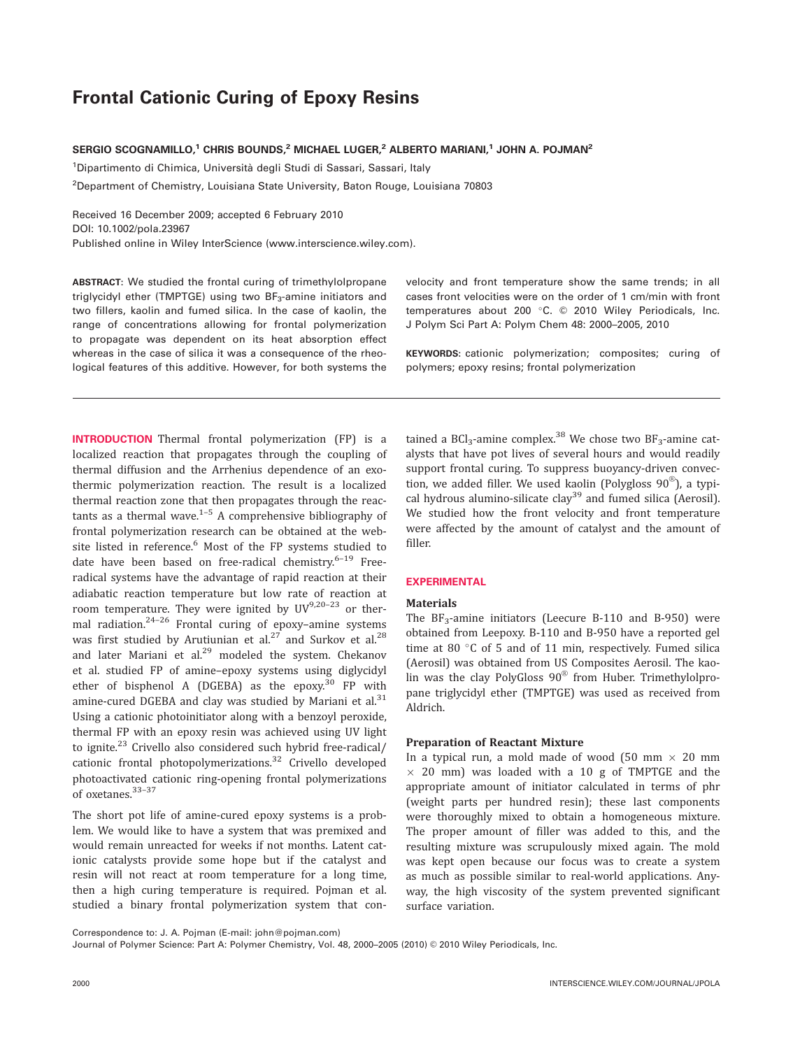# From Cationic Curing of  $=$   $p \cdot r$ , resins

# SERGIO SCOGNAMILLO,<sup>1</sup> CHRIS BOUNDS,<sup>2</sup> MICHAEL LUGER,<sup>2</sup> ALBERTO MARIANI,<sup>1</sup> JOHN A. POJMAN<sup>2</sup>

<sup>1</sup>Dipartimento di Chimica, Università degli Studi di Sassari, Sassari, Italy

2 Department of Chemistry, Louisiana State University, Baton Rouge, Louisiana 70803

Received 16 December 2009; accepted 6 February 2010

DOI: 10.1002/pola.23967

Published online in Wiley InterScience (www.interscience.wiley.com).

ABSTRACT: We studied the frontal curing of trimethylolpropane triglycidyl ether (TMPTGE) using two BF<sub>3</sub>-amine initiators and two fillers, kaolin and fumed silica. In the case of kaolin, the range of concentrations allowing for frontal polymerization to propagate was dependent on its heat absorption effect whereas in the case of silica it was a consequence of the rheological features of this additive. However, for both systems the

INTRODUCTION Thermal frontal polymerization (FP) is a localized reaction that propagates through the coupling of thermal diffusion and the Arrhenius dependence of an exothermic polymerization reaction. The result is a localized thermal reaction zone that then propagates through the reactants as a thermal wave. $1-5$  A comprehensive bibliography of frontal polymerization research can be obtained at the website listed in reference.<sup>6</sup> Most of the FP systems studied to date have been based on free-radical chemistry. $6-19$  Freeradical systems have the advantage of rapid reaction at their adiabatic reaction temperature but low rate of reaction at room temperature. They were ignited by  $UV^{9,20-23}$  or thermal radiation.<sup>24–26</sup> Frontal curing of epoxy–amine systems was first studied by Arutiunian et al.<sup>27</sup> and Surkov et al.<sup>28</sup> and later Mariani et al. $^{29}$  modeled the system. Chekanov et al. studied FP of amine–epoxy systems using diglycidyl ether of bisphenol A (DGEBA) as the epoxy.<sup>30</sup> FP with amine-cured DGEBA and clay was studied by Mariani et al.<sup>31</sup> Using a cationic photoinitiator along with a benzoyl peroxide, thermal FP with an epoxy resin was achieved using UV light to ignite.<sup>23</sup> Crivello also considered such hybrid free-radical/ cationic frontal photopolymerizations.<sup>32</sup> Crivello developed photoactivated cationic ring-opening frontal polymerizations of oxetanes.33–37

The short pot life of amine-cured epoxy systems is a problem. We would like to have a system that was premixed and would remain unreacted for weeks if not months. Latent cationic catalysts provide some hope but if the catalyst and resin will not react at room temperature for a long time, then a high curing temperature is required. Pojman et al. studied a binary frontal polymerization system that convelocity and front temperature show the same trends; in all cases front velocities were on the order of 1 cm/min with front temperatures about 200  $^{\circ}$ C.  $\odot$  2010 Wiley Periodicals, Inc. J Polym Sci Part A: Polym Chem 48: 2000–2005, 2010

KEYWORDS: cationic polymerization; composites; curing of polymers; epoxy resins; frontal polymerization

tained a BCl<sub>3</sub>-amine complex.<sup>38</sup> We chose two BF<sub>3</sub>-amine catalysts that have pot lives of several hours and would readily support frontal curing. To suppress buoyancy-driven convection, we added filler. We used kaolin (Polygloss 90 $^{\circledR}$ ), a typical hydrous alumino-silicate clay<sup>39</sup> and fumed silica (Aerosil). We studied how the front velocity and front temperature were affected by the amount of catalyst and the amount of filler.

## **EXPERIMENTAL**

#### **Materials**

The  $BF_3$ -amine initiators (Leecure B-110 and B-950) were obtained from Leepoxy. B-110 and B-950 have a reported gel time at 80 $\degree$ C of 5 and of 11 min, respectively. Fumed silica (Aerosil) was obtained from US Composites Aerosil. The kaolin was the clay PolyGloss  $90^\circ$  from Huber. Trimethylolpropane triglycidyl ether (TMPTGE) was used as received from Aldrich.

## Preparation of Reactant Mixture

In a typical run, a mold made of wood  $(50 \text{ mm} \times 20 \text{ mm})$  $\times$  20 mm) was loaded with a 10 g of TMPTGE and the appropriate amount of initiator calculated in terms of phr (weight parts per hundred resin); these last components were thoroughly mixed to obtain a homogeneous mixture. The proper amount of filler was added to this, and the resulting mixture was scrupulously mixed again. The mold was kept open because our focus was to create a system as much as possible similar to real-world applications. Anyway, the high viscosity of the system prevented significant surface variation.

Journal of Polymer Science: Part A: Polymer Chemistry, Vol. 48, 2000-2005 (2010) © 2010 Wiley Periodicals, Inc.

Correspondence to: J. A. Pojman (E-mail: john@pojman.com)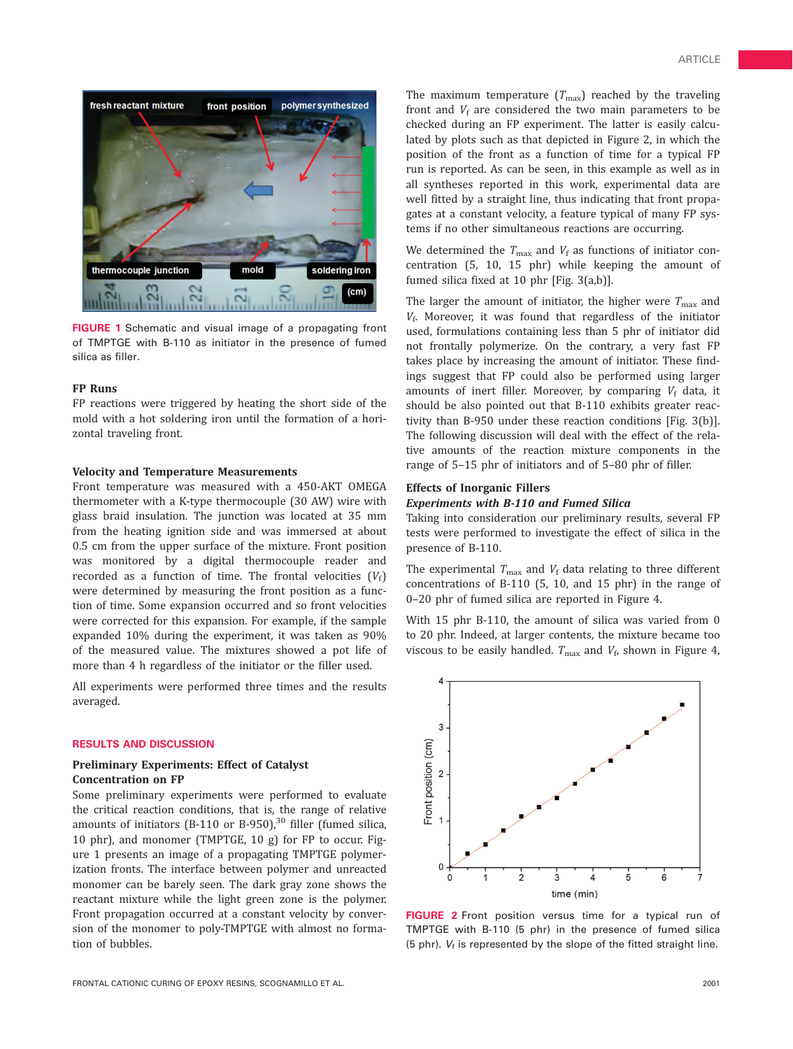

FIGURE 1 Schematic and visual image of a propagating front of TMPTGE with B-110 as initiator in the presence of fumed silica as filler.

#### FP Runs

FP reactions were triggered by heating the short side of the mold with a hot soldering iron until the formation of a horizontal traveling front.

#### Velocity and Temperature Measurements

Front temperature was measured with a 450-AKT OMEGA thermometer with a K-type thermocouple (30 AW) wire with glass braid insulation. The junction was located at 35 mm from the heating ignition side and was immersed at about 0.5 cm from the upper surface of the mixture. Front position was monitored by a digital thermocouple reader and recorded as a function of time. The frontal velocities  $(V_f)$ were determined by measuring the front position as a function of time. Some expansion occurred and so front velocities were corrected for this expansion. For example, if the sample expanded 10% during the experiment, it was taken as 90% of the measured value. The mixtures showed a pot life of more than 4 h regardless of the initiator or the filler used.

All experiments were performed three times and the results averaged.

#### RESULTS AND DISCUSSION

#### Preliminary Experiments: Effect of Catalyst Concentration on FP

Some preliminary experiments were performed to evaluate the critical reaction conditions, that is, the range of relative amounts of initiators (B-110 or B-950), $30$  filler (fumed silica, 10 phr), and monomer (TMPTGE, 10 g) for FP to occur. Figure 1 presents an image of a propagating TMPTGE polymerization fronts. The interface between polymer and unreacted monomer can be barely seen. The dark gray zone shows the reactant mixture while the light green zone is the polymer. Front propagation occurred at a constant velocity by conversion of the monomer to poly-TMPTGE with almost no formation of bubbles.

The maximum temperature  $(T_{\text{max}})$  reached by the traveling front and  $V_f$  are considered the two main parameters to be checked during an FP experiment. The latter is easily calculated by plots such as that depicted in Figure 2, in which the position of the front as a function of time for a typical FP run is reported. As can be seen, in this example as well as in all syntheses reported in this work, experimental data are well fitted by a straight line, thus indicating that front propagates at a constant velocity, a feature typical of many FP systems if no other simultaneous reactions are occurring.

We determined the  $T_{\text{max}}$  and  $V_f$  as functions of initiator concentration (5, 10, 15 phr) while keeping the amount of fumed silica fixed at 10 phr [Fig. 3(a,b)].

The larger the amount of initiator, the higher were  $T_{\text{max}}$  and  $V_f$ . Moreover, it was found that regardless of the initiator used, formulations containing less than 5 phr of initiator did not frontally polymerize. On the contrary, a very fast FP takes place by increasing the amount of initiator. These findings suggest that FP could also be performed using larger amounts of inert filler. Moreover, by comparing  $V_f$  data, it should be also pointed out that B-110 exhibits greater reactivity than B-950 under these reaction conditions [Fig. 3(b)]. The following discussion will deal with the effect of the relative amounts of the reaction mixture components in the range of 5–15 phr of initiators and of 5–80 phr of filler.

#### Effects of Inorganic Fillers

## Experiments with B-110 and Fumed Silica

Taking into consideration our preliminary results, several FP tests were performed to investigate the effect of silica in the presence of B-110.

The experimental  $T_{\text{max}}$  and  $V_f$  data relating to three different concentrations of B-110 (5, 10, and 15 phr) in the range of 0–20 phr of fumed silica are reported in Figure 4.

With 15 phr B-110, the amount of silica was varied from 0 to 20 phr. Indeed, at larger contents, the mixture became too viscous to be easily handled.  $T_{\text{max}}$  and  $V_f$ , shown in Figure 4,



FIGURE 2 Front position versus time for a typical run of TMPTGE with B-110 (5 phr) in the presence of fumed silica (5 phr).  $V_f$  is represented by the slope of the fitted straight line.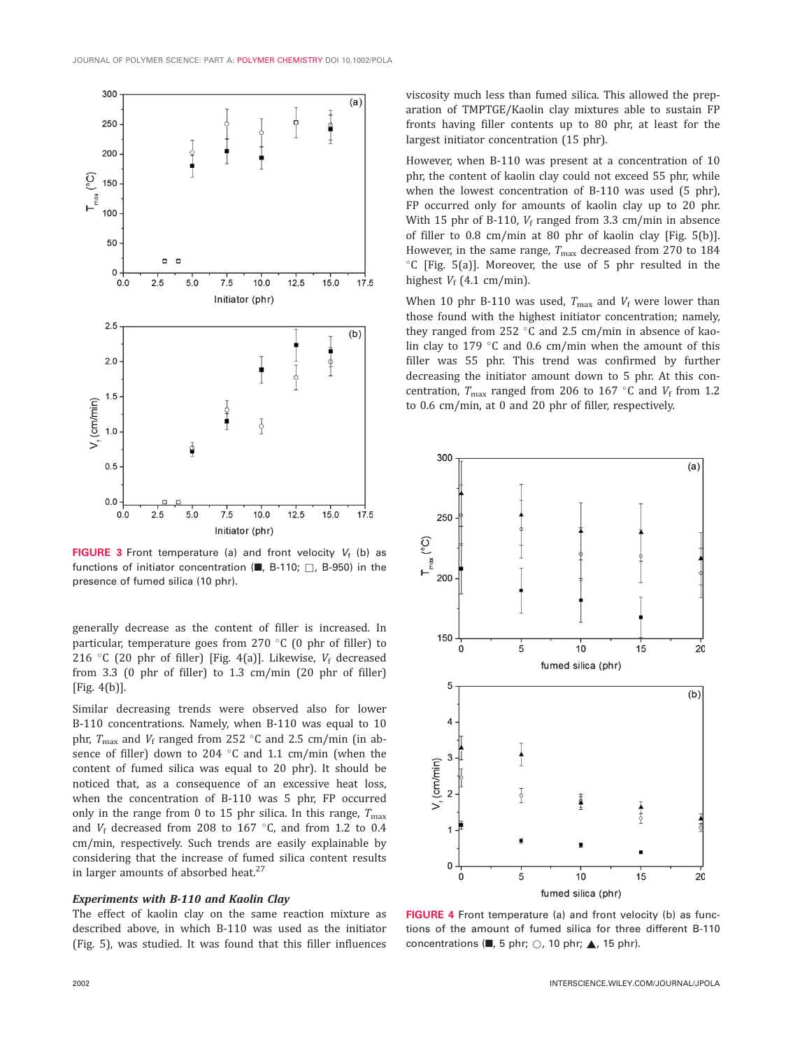

FIGURE 3 Front temperature (a) and front velocity  $V_f$  (b) as functions of initiator concentration ( $\blacksquare$ , B-110;  $\Box$ , B-950) in the presence of fumed silica (10 phr).

generally decrease as the content of filler is increased. In particular, temperature goes from 270  $\degree$ C (0 phr of filler) to 216 °C (20 phr of filler) [Fig. 4(a)]. Likewise,  $V_f$  decreased from 3.3 (0 phr of filler) to 1.3 cm/min (20 phr of filler) [Fig. 4(b)].

Similar decreasing trends were observed also for lower B-110 concentrations. Namely, when B-110 was equal to 10 phr,  $T_{\text{max}}$  and  $V_f$  ranged from 252 °C and 2.5 cm/min (in absence of filler) down to 204  $\degree$ C and 1.1 cm/min (when the content of fumed silica was equal to 20 phr). It should be noticed that, as a consequence of an excessive heat loss, when the concentration of B-110 was 5 phr, FP occurred only in the range from 0 to 15 phr silica. In this range,  $T_{\text{max}}$ and  $V_f$  decreased from 208 to 167 °C, and from 1.2 to 0.4 cm/min, respectively. Such trends are easily explainable by considering that the increase of fumed silica content results in larger amounts of absorbed heat. $27$ 

# Experiments with B-110 and Kaolin Clay

The effect of kaolin clay on the same reaction mixture as described above, in which B-110 was used as the initiator (Fig. 5), was studied. It was found that this filler influences viscosity much less than fumed silica. This allowed the preparation of TMPTGE/Kaolin clay mixtures able to sustain FP fronts having filler contents up to 80 phr, at least for the largest initiator concentration (15 phr).

However, when B-110 was present at a concentration of 10 phr, the content of kaolin clay could not exceed 55 phr, while when the lowest concentration of B-110 was used (5 phr), FP occurred only for amounts of kaolin clay up to 20 phr. With 15 phr of B-110,  $V_f$  ranged from 3.3 cm/min in absence of filler to 0.8 cm/min at 80 phr of kaolin clay [Fig. 5(b)]. However, in the same range,  $T_{\text{max}}$  decreased from 270 to 184  $^{\circ}$ C [Fig. 5(a)]. Moreover, the use of 5 phr resulted in the highest  $V_f$  (4.1 cm/min).

When 10 phr B-110 was used,  $T_{\text{max}}$  and  $V_f$  were lower than those found with the highest initiator concentration; namely, they ranged from 252  $\degree$ C and 2.5 cm/min in absence of kaolin clay to 179  $\degree$ C and 0.6 cm/min when the amount of this filler was 55 phr. This trend was confirmed by further decreasing the initiator amount down to 5 phr. At this concentration,  $T_{\text{max}}$  ranged from 206 to 167 °C and  $V_f$  from 1.2 to 0.6 cm/min, at 0 and 20 phr of filler, respectively.



FIGURE 4 Front temperature (a) and front velocity (b) as functions of the amount of fumed silica for three different B-110 concentrations ( $\blacksquare$ , 5 phr;  $\bigcirc$ , 10 phr;  $\blacktriangle$ , 15 phr).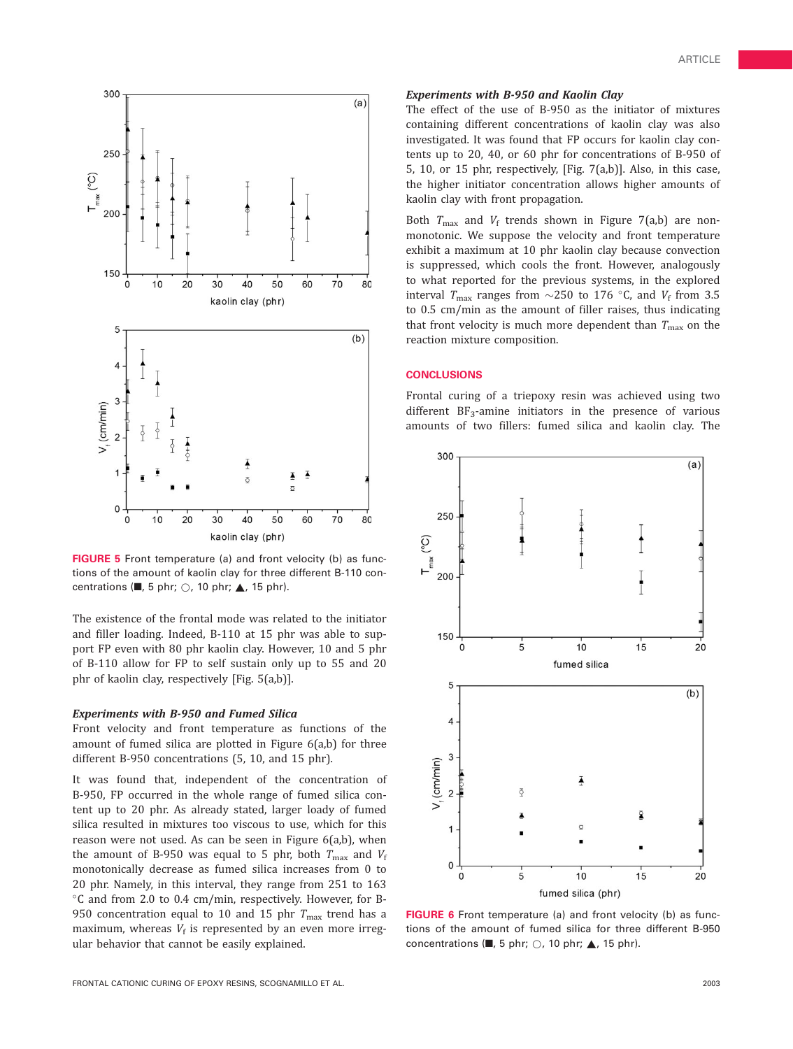

FIGURE 5 Front temperature (a) and front velocity (b) as functions of the amount of kaolin clay for three different B-110 concentrations ( $\blacksquare$ , 5 phr;  $\bigcirc$ , 10 phr;  $\blacktriangle$ , 15 phr).

The existence of the frontal mode was related to the initiator and filler loading. Indeed, B-110 at 15 phr was able to support FP even with 80 phr kaolin clay. However, 10 and 5 phr of B-110 allow for FP to self sustain only up to 55 and 20 phr of kaolin clay, respectively [Fig. 5(a,b)].

#### Experiments with B-950 and Fumed Silica

Front velocity and front temperature as functions of the amount of fumed silica are plotted in Figure 6(a,b) for three different B-950 concentrations (5, 10, and 15 phr).

It was found that, independent of the concentration of B-950, FP occurred in the whole range of fumed silica content up to 20 phr. As already stated, larger loady of fumed silica resulted in mixtures too viscous to use, which for this reason were not used. As can be seen in Figure 6(a,b), when the amount of B-950 was equal to 5 phr, both  $T_{\text{max}}$  and  $V_f$ monotonically decrease as fumed silica increases from 0 to 20 phr. Namely, in this interval, they range from 251 to 163 C and from 2.0 to 0.4 cm/min, respectively. However, for B-950 concentration equal to 10 and 15 phr  $T_{\text{max}}$  trend has a maximum, whereas  $V_f$  is represented by an even more irregular behavior that cannot be easily explained.

# Experiments with B-950 and Kaolin Clay

The effect of the use of B-950 as the initiator of mixtures containing different concentrations of kaolin clay was also investigated. It was found that FP occurs for kaolin clay contents up to 20, 40, or 60 phr for concentrations of B-950 of 5, 10, or 15 phr, respectively, [Fig. 7(a,b)]. Also, in this case, the higher initiator concentration allows higher amounts of kaolin clay with front propagation.

Both  $T_{\text{max}}$  and  $V_f$  trends shown in Figure 7(a,b) are nonmonotonic. We suppose the velocity and front temperature exhibit a maximum at 10 phr kaolin clay because convection is suppressed, which cools the front. However, analogously to what reported for the previous systems, in the explored interval  $T_{\text{max}}$  ranges from  $\sim$ 250 to 176 °C, and  $V_{\text{f}}$  from 3.5 to 0.5 cm/min as the amount of filler raises, thus indicating that front velocity is much more dependent than  $T_{\text{max}}$  on the reaction mixture composition.

Frontal curing of a triepoxy resin was achieved using two different  $BF_3$ -amine initiators in the presence of various amounts of two fillers: fumed silica and kaolin clay. The



FIGURE 6 Front temperature (a) and front velocity (b) as functions of the amount of fumed silica for three different B-950 concentrations ( $\blacksquare$ , 5 phr;  $\bigcirc$ , 10 phr;  $\blacktriangle$ , 15 phr).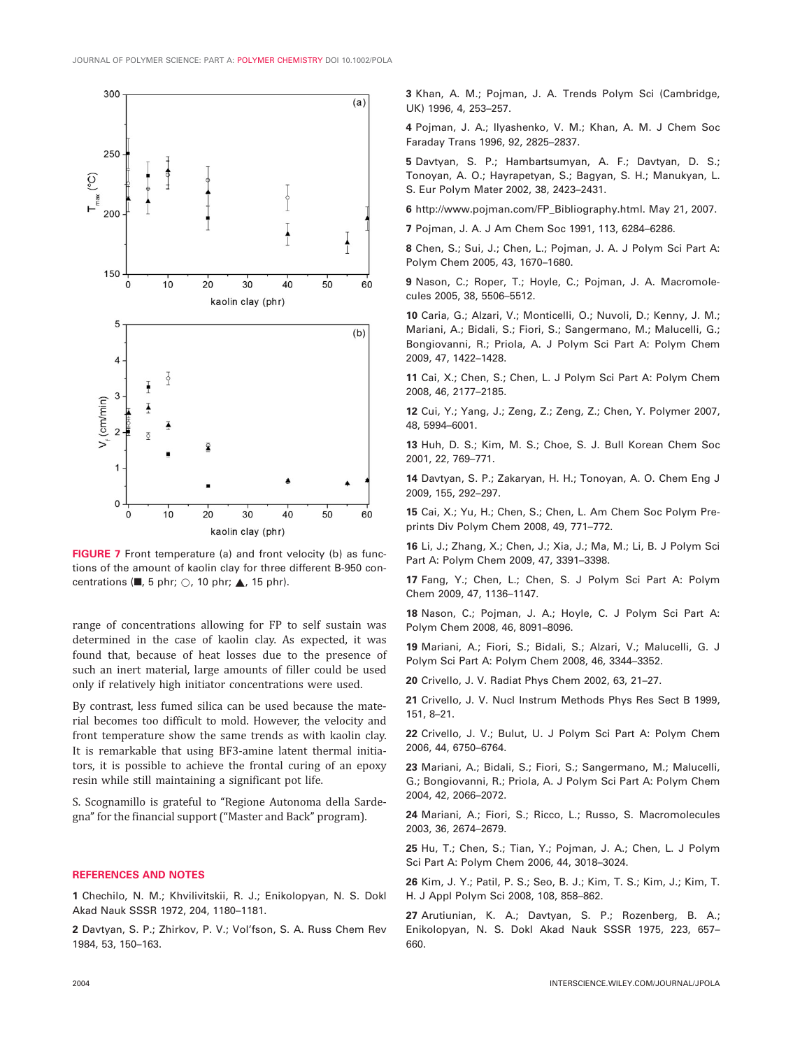

FIGURE 7 Front temperature (a) and front velocity (b) as functions of the amount of kaolin clay for three different B-950 concentrations ( $\blacksquare$ , 5 phr;  $\bigcirc$ , 10 phr;  $\blacktriangle$ , 15 phr).

range of concentrations allowing for FP to self sustain was determined in the case of kaolin clay. As expected, it was found that, because of heat losses due to the presence of such an inert material, large amounts of filler could be used only if relatively high initiator concentrations were used.

By contrast, less fumed silica can be used because the material becomes too difficult to mold. However, the velocity and front temperature show the same trends as with kaolin clay. It is remarkable that using BF3-amine latent thermal initiators, it is possible to achieve the frontal curing of an epoxy resin while still maintaining a significant pot life.

S. Scognamillo is grateful to ''Regione Autonoma della Sardegna'' for the financial support (''Master and Back'' program).

1 Chechilo, N. M.; Khvilivitskii, R. J.; Enikolopyan, N. S. Dokl Akad Nauk SSSR 1972, 204, 1180–1181.

2 Davtyan, S. P.; Zhirkov, P. V.; Vol'fson, S. A. Russ Chem Rev 1984, 53, 150–163.

3 Khan, A. M.; Pojman, J. A. Trends Polym Sci (Cambridge, UK) 1996, 4, 253–257.

4 Pojman, J. A.; Ilyashenko, V. M.; Khan, A. M. J Chem Soc Faraday Trans 1996, 92, 2825–2837.

5 Davtyan, S. P.; Hambartsumyan, A. F.; Davtyan, D. S.; Tonoyan, A. O.; Hayrapetyan, S.; Bagyan, S. H.; Manukyan, L. S. Eur Polym Mater 2002, 38, 2423–2431.

6 http://www.pojman.com/FP\_Bibliography.html. May 21, 2007.

7 Pojman, J. A. J Am Chem Soc 1991, 113, 6284–6286.

8 Chen, S.; Sui, J.; Chen, L.; Pojman, J. A. J Polym Sci Part A: Polym Chem 2005, 43, 1670–1680.

9 Nason, C.; Roper, T.; Hoyle, C.; Pojman, J. A. Macromolecules 2005, 38, 5506–5512.

10 Caria, G.; Alzari, V.; Monticelli, O.; Nuvoli, D.; Kenny, J. M.; Mariani, A.; Bidali, S.; Fiori, S.; Sangermano, M.; Malucelli, G.; Bongiovanni, R.; Priola, A. J Polym Sci Part A: Polym Chem 2009, 47, 1422–1428.

11 Cai, X.; Chen, S.; Chen, L. J Polym Sci Part A: Polym Chem 2008, 46, 2177–2185.

12 Cui, Y.; Yang, J.; Zeng, Z.; Zeng, Z.; Chen, Y. Polymer 2007, 48, 5994–6001.

13 Huh, D. S.; Kim, M. S.; Choe, S. J. Bull Korean Chem Soc 2001, 22, 769–771.

14 Davtyan, S. P.; Zakaryan, H. H.; Tonoyan, A. O. Chem Eng J 2009, 155, 292–297.

15 Cai, X.; Yu, H.; Chen, S.; Chen, L. Am Chem Soc Polym Preprints Div Polym Chem 2008, 49, 771–772.

16 Li, J.; Zhang, X.; Chen, J.; Xia, J.; Ma, M.; Li, B. J Polym Sci Part A: Polym Chem 2009, 47, 3391–3398.

17 Fang, Y.; Chen, L.; Chen, S. J Polym Sci Part A: Polym Chem 2009, 47, 1136–1147.

18 Nason, C.; Pojman, J. A.; Hoyle, C. J Polym Sci Part A: Polym Chem 2008, 46, 8091–8096.

19 Mariani, A.; Fiori, S.; Bidali, S.; Alzari, V.; Malucelli, G. J Polym Sci Part A: Polym Chem 2008, 46, 3344–3352.

20 Crivello, J. V. Radiat Phys Chem 2002, 63, 21–27.

21 Crivello, J. V. Nucl Instrum Methods Phys Res Sect B 1999, 151, 8–21.

22 Crivello, J. V.; Bulut, U. J Polym Sci Part A: Polym Chem 2006, 44, 6750–6764.

23 Mariani, A.; Bidali, S.; Fiori, S.; Sangermano, M.; Malucelli, G.; Bongiovanni, R.; Priola, A. J Polym Sci Part A: Polym Chem 2004, 42, 2066–2072.

24 Mariani, A.; Fiori, S.; Ricco, L.; Russo, S. Macromolecules 2003, 36, 2674–2679.

25 Hu, T.; Chen, S.; Tian, Y.; Pojman, J. A.; Chen, L. J Polym Sci Part A: Polym Chem 2006, 44, 3018–3024.

26 Kim, J. Y.; Patil, P. S.; Seo, B. J.; Kim, T. S.; Kim, J.; Kim, T. H. J Appl Polym Sci 2008, 108, 858–862.

27 Arutiunian, K. A.; Davtyan, S. P.; Rozenberg, B. A.; Enikolopyan, N. S. Dokl Akad Nauk SSSR 1975, 223, 657– 660.